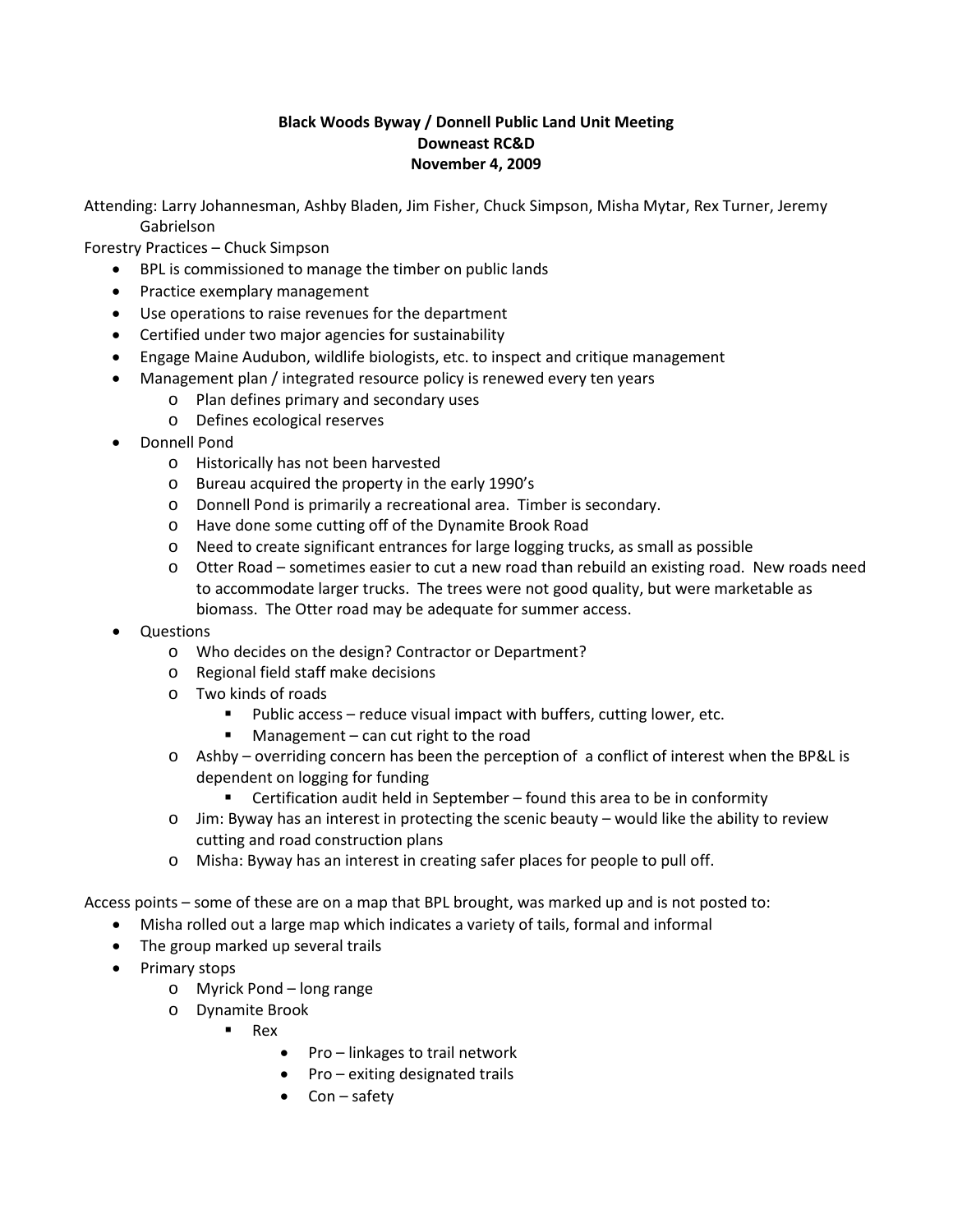## **Black Woods Byway / Donnell Public Land Unit Meeting Downeast RC&D November 4, 2009**

Attending: Larry Johannesman, Ashby Bladen, Jim Fisher, Chuck Simpson, Misha Mytar, Rex Turner, Jeremy Gabrielson

Forestry Practices – Chuck Simpson

- BPL is commissioned to manage the timber on public lands
- Practice exemplary management
- Use operations to raise revenues for the department
- Certified under two major agencies for sustainability
- Engage Maine Audubon, wildlife biologists, etc. to inspect and critique management
- Management plan / integrated resource policy is renewed every ten years
	- o Plan defines primary and secondary uses
	- o Defines ecological reserves
- Donnell Pond
	- o Historically has not been harvested
	- o Bureau acquired the property in the early 1990's
	- o Donnell Pond is primarily a recreational area. Timber is secondary.
	- o Have done some cutting off of the Dynamite Brook Road
	- o Need to create significant entrances for large logging trucks, as small as possible
	- o Otter Road sometimes easier to cut a new road than rebuild an existing road. New roads need to accommodate larger trucks. The trees were not good quality, but were marketable as biomass. The Otter road may be adequate for summer access.
- Questions
	- o Who decides on the design? Contractor or Department?
	- o Regional field staff make decisions
	- $\circ$  Two kinds of roads
		- Public access reduce visual impact with buffers, cutting lower, etc.
		- **Management can cut right to the road**
	- o Ashby overriding concern has been the perception of a conflict of interest when the BP&L is dependent on logging for funding
		- Certification audit held in September found this area to be in conformity
	- o Jim: Byway has an interest in protecting the scenic beauty would like the ability to review cutting and road construction plans
	- o Misha: Byway has an interest in creating safer places for people to pull off.

Access points – some of these are on a map that BPL brought, was marked up and is not posted to:

- Misha rolled out a large map which indicates a variety of tails, formal and informal
- The group marked up several trails
- Primary stops
	- o Myrick Pond long range
	- o Dynamite Brook
		- $R$ ex
			- Pro linkages to trail network
			- Pro exiting designated trails
			- Con safety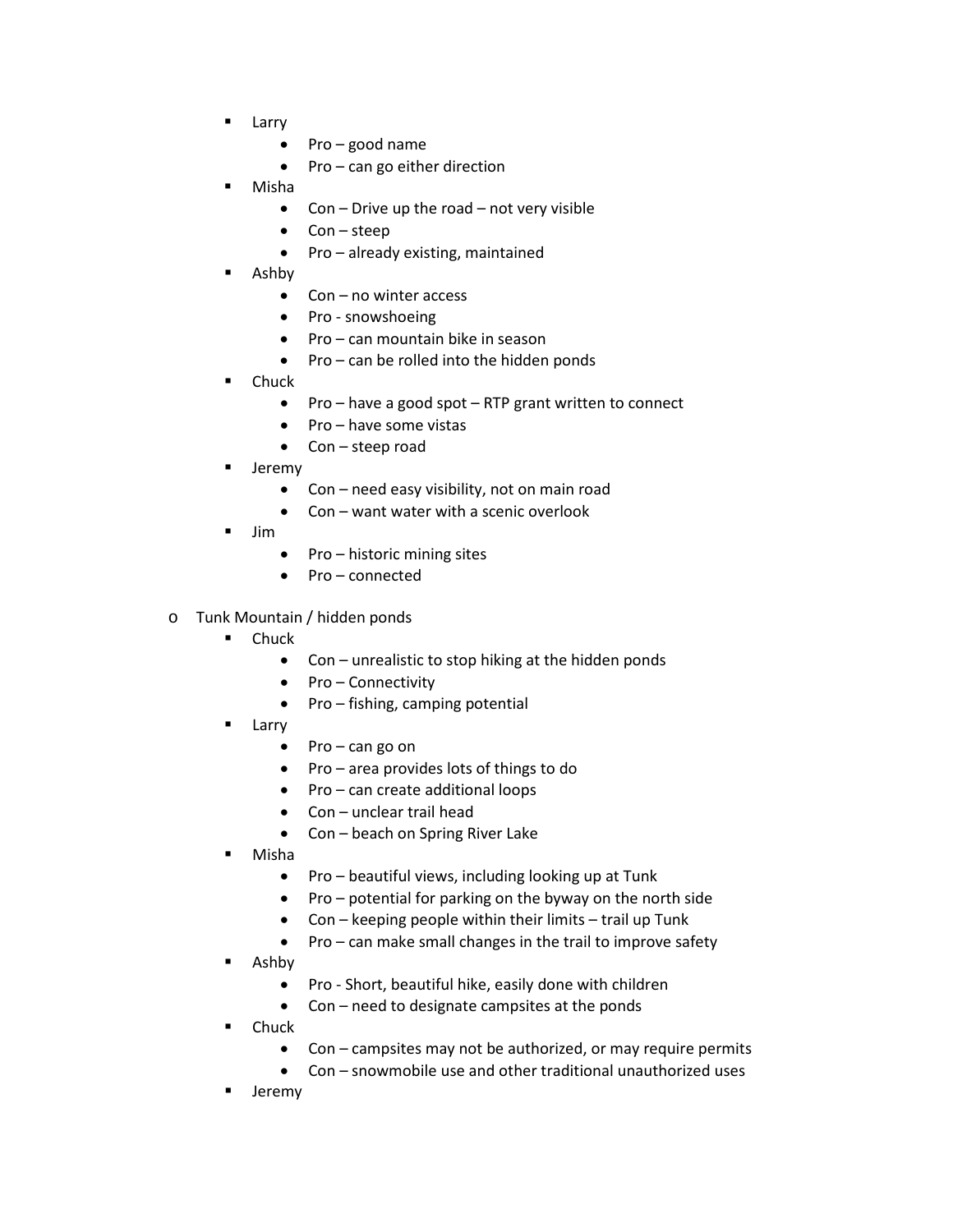- **Larry** 
	- Pro good name
	- Pro can go either direction
- Misha
	- Con Drive up the road not very visible
	- $Con steep$
	- Pro already existing, maintained
- Ashby
	- Con no winter access
	- Pro snowshoeing
	- Pro can mountain bike in season
	- Pro can be rolled into the hidden ponds
- **Chuck** 
	- Pro have a good spot RTP grant written to connect
	- Pro have some vistas
	- Con steep road
- Jeremy
	- Con need easy visibility, not on main road
	- Con want water with a scenic overlook
- Jim
	- Pro historic mining sites
	- Pro connected
- o Tunk Mountain / hidden ponds
	- Chuck
		- Con unrealistic to stop hiking at the hidden ponds
		- Pro Connectivity
		- Pro fishing, camping potential
	- **Larry** 
		- Pro can go on
		- Pro area provides lots of things to do
		- Pro can create additional loops
		- Con unclear trail head
		- Con beach on Spring River Lake
	- Misha
		- Pro beautiful views, including looking up at Tunk
		- Pro potential for parking on the byway on the north side
		- Con keeping people within their limits trail up Tunk
		- Pro can make small changes in the trail to improve safety
	- Ashby
		- Pro Short, beautiful hike, easily done with children
		- Con need to designate campsites at the ponds
	- Chuck
		- Con campsites may not be authorized, or may require permits
		- Con snowmobile use and other traditional unauthorized uses
	- Jeremy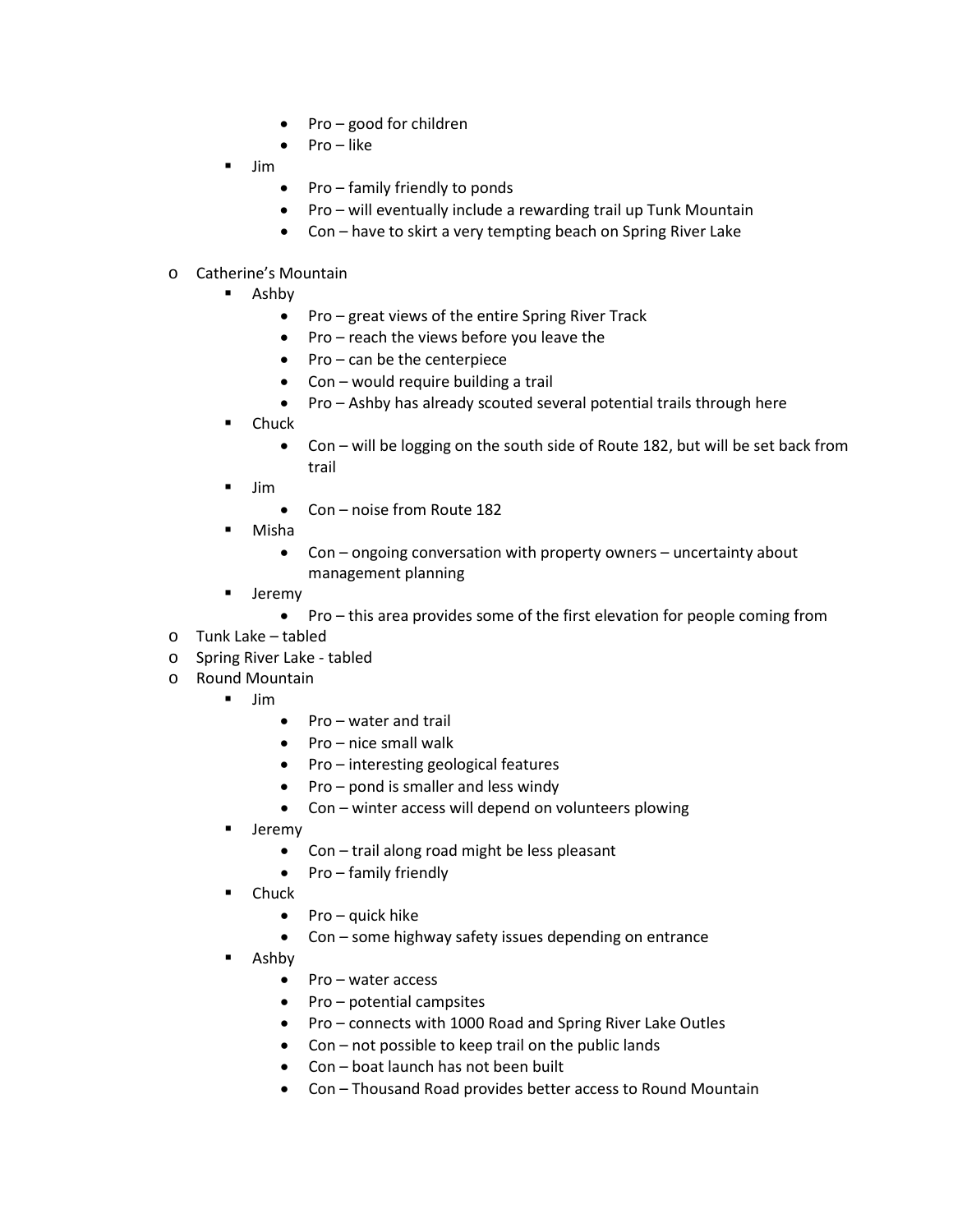- Pro good for children
- Pro like
- $\blacksquare$  Jim
- Pro family friendly to ponds
- Pro will eventually include a rewarding trail up Tunk Mountain
- Con have to skirt a very tempting beach on Spring River Lake

## o Catherine's Mountain

- **Ashby** 
	- Pro great views of the entire Spring River Track
	- Pro reach the views before you leave the
	- Pro can be the centerpiece
	- Con would require building a trail
	- Pro Ashby has already scouted several potential trails through here
- Chuck
	- Con will be logging on the south side of Route 182, but will be set back from trail
- Jim
	- Con noise from Route 182
- Misha
	- Con ongoing conversation with property owners uncertainty about management planning
- **-** Jeremy
	- Pro this area provides some of the first elevation for people coming from
- o Tunk Lake tabled
- o Spring River Lake tabled
- o Round Mountain
	- $\blacksquare$  Jim
		- Pro water and trail
		- Pro nice small walk
		- Pro interesting geological features
		- Pro pond is smaller and less windy
		- Con winter access will depend on volunteers plowing
	- Jeremy
		- Con trail along road might be less pleasant
		- Pro family friendly
	- Chuck
		- Pro quick hike
		- Con some highway safety issues depending on entrance
	- Ashby
		- Pro water access
		- Pro potential campsites
		- Pro connects with 1000 Road and Spring River Lake Outles
		- Con not possible to keep trail on the public lands
		- Con boat launch has not been built
		- Con Thousand Road provides better access to Round Mountain